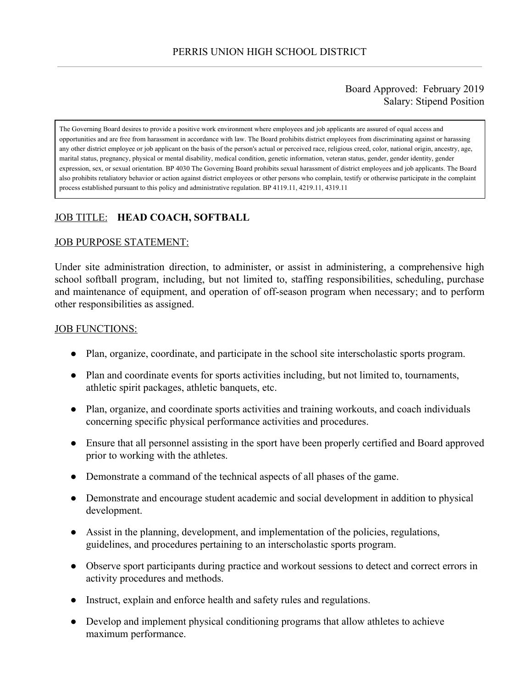#### Board Approved: February 2019 Salary: Stipend Position

The Governing Board desires to provide a positive work environment where employees and job applicants are assured of equal access and opportunities and are free from harassment in accordance with law. The Board prohibits district employees from discriminating against or harassing any other district employee or job applicant on the basis of the person's actual or perceived race, religious creed, color, national origin, ancestry, age, marital status, pregnancy, physical or mental disability, medical condition, genetic information, veteran status, gender, gender identity, gender expression, sex, or sexual orientation. BP 4030 The Governing Board prohibits sexual harassment of district employees and job applicants. The Board also prohibits retaliatory behavior or action against district employees or other persons who complain, testify or otherwise participate in the complaint process established pursuant to this policy and administrative regulation. BP 4119.11, 4219.11, 4319.11

# JOB TITLE: **HEAD COACH, SOFTBALL**

#### JOB PURPOSE STATEMENT:

Under site administration direction, to administer, or assist in administering, a comprehensive high school softball program, including, but not limited to, staffing responsibilities, scheduling, purchase and maintenance of equipment, and operation of off-season program when necessary; and to perform other responsibilities as assigned.

#### **JOB FUNCTIONS:**

- Plan, organize, coordinate, and participate in the school site interscholastic sports program.
- Plan and coordinate events for sports activities including, but not limited to, tournaments, athletic spirit packages, athletic banquets, etc.
- Plan, organize, and coordinate sports activities and training workouts, and coach individuals concerning specific physical performance activities and procedures.
- Ensure that all personnel assisting in the sport have been properly certified and Board approved prior to working with the athletes.
- Demonstrate a command of the technical aspects of all phases of the game.
- Demonstrate and encourage student academic and social development in addition to physical development.
- Assist in the planning, development, and implementation of the policies, regulations, guidelines, and procedures pertaining to an interscholastic sports program.
- Observe sport participants during practice and workout sessions to detect and correct errors in activity procedures and methods.
- Instruct, explain and enforce health and safety rules and regulations.
- Develop and implement physical conditioning programs that allow athletes to achieve maximum performance.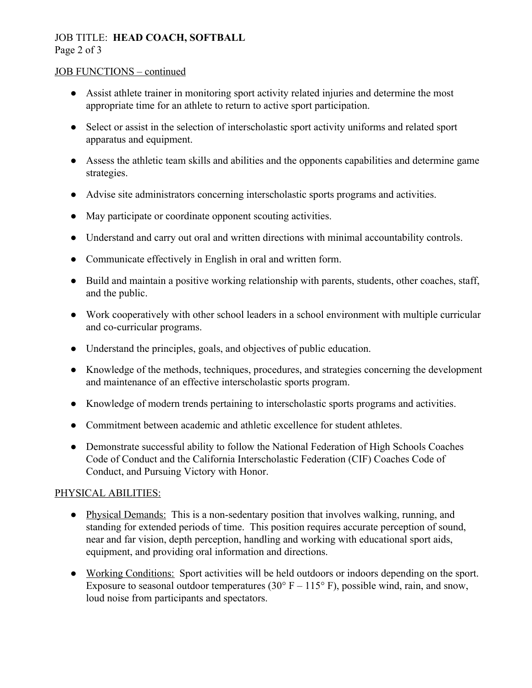# JOB TITLE: **HEAD COACH, SOFTBALL**

Page 2 of 3

## JOB FUNCTIONS – continued

- Assist athlete trainer in monitoring sport activity related injuries and determine the most appropriate time for an athlete to return to active sport participation.
- Select or assist in the selection of interscholastic sport activity uniforms and related sport apparatus and equipment.
- Assess the athletic team skills and abilities and the opponents capabilities and determine game strategies.
- Advise site administrators concerning interscholastic sports programs and activities.
- May participate or coordinate opponent scouting activities.
- Understand and carry out oral and written directions with minimal accountability controls.
- Communicate effectively in English in oral and written form.
- Build and maintain a positive working relationship with parents, students, other coaches, staff, and the public.
- Work cooperatively with other school leaders in a school environment with multiple curricular and co-curricular programs.
- Understand the principles, goals, and objectives of public education.
- Knowledge of the methods, techniques, procedures, and strategies concerning the development and maintenance of an effective interscholastic sports program.
- Knowledge of modern trends pertaining to interscholastic sports programs and activities.
- Commitment between academic and athletic excellence for student athletes.
- Demonstrate successful ability to follow the National Federation of High Schools Coaches Code of Conduct and the California Interscholastic Federation (CIF) Coaches Code of Conduct, and Pursuing Victory with Honor.

## PHYSICAL ABILITIES:

- Physical Demands: This is a non-sedentary position that involves walking, running, and standing for extended periods of time. This position requires accurate perception of sound, near and far vision, depth perception, handling and working with educational sport aids, equipment, and providing oral information and directions.
- Working Conditions: Sport activities will be held outdoors or indoors depending on the sport. Exposure to seasonal outdoor temperatures (30 $\degree$  F – 115 $\degree$  F), possible wind, rain, and snow, loud noise from participants and spectators.